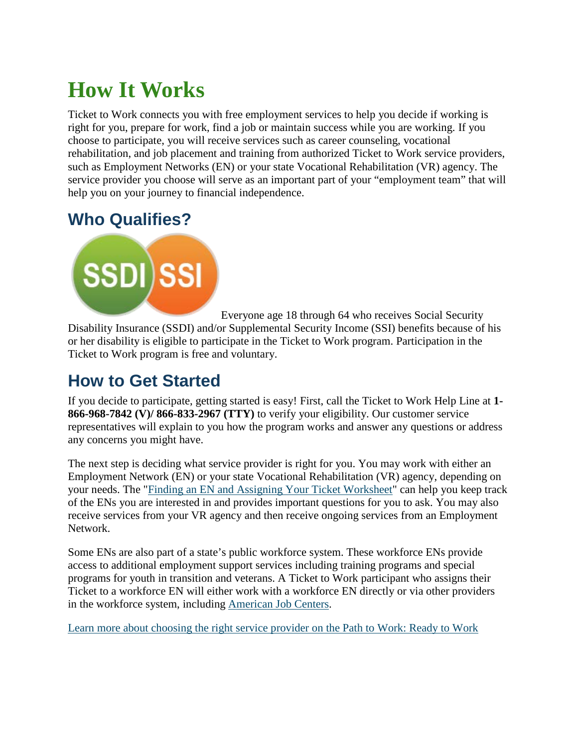# **How It Works**

Ticket to Work connects you with free employment services to help you decide if working is right for you, prepare for work, find a job or maintain success while you are working. If you choose to participate, you will receive services such as career counseling, vocational rehabilitation, and job placement and training from authorized Ticket to Work service providers, such as Employment Networks (EN) or your state Vocational Rehabilitation (VR) agency. The service provider you choose will serve as an important part of your "employment team" that will help you on your journey to financial independence.

## **Who Qualifies?**



Everyone age 18 through 64 who receives Social Security Disability Insurance (SSDI) and/or Supplemental Security Income (SSI) benefits because of his or her disability is eligible to participate in the Ticket to Work program. Participation in the Ticket to Work program is free and voluntary.

#### **How to Get Started**

If you decide to participate, getting started is easy! First, call the Ticket to Work Help Line at **1- 866-968-7842 (V)/ 866-833-2967 (TTY)** to verify your eligibility. Our customer service representatives will explain to you how the program works and answer any questions or address any concerns you might have.

The next step is deciding what service provider is right for you. You may work with either an Employment Network (EN) or your state Vocational Rehabilitation (VR) agency, depending on your needs. The ["Finding an EN and Assigning Your Ticket Worksheet"](https://www.chooseworkttw.net/library/finding-EN-assigning-your-ticket-worksheet) can help you keep track of the ENs you are interested in and provides important questions for you to ask. You may also receive services from your VR agency and then receive ongoing services from an Employment Network.

Some ENs are also part of a state's public workforce system. These workforce ENs provide access to additional employment support services including training programs and special programs for youth in transition and veterans. A Ticket to Work participant who assigns their Ticket to a workforce EN will either work with a workforce EN directly or via other providers in the workforce system, including [American Job Centers.](http://jobcenter.usa.gov/)

[Learn more about choosing the right service provider on the Path to Work: Ready to Work](https://www.chooseworkttw.net/about/your-path-to-work/ready-to-work.html)